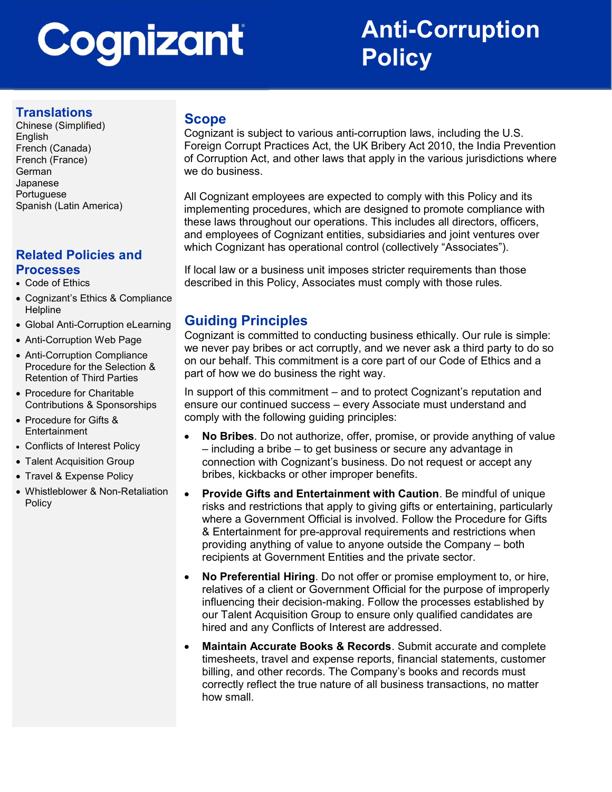# Cognizant

# Anti-Corruption **Policy**

# **Translations**

Chinese (Simplified) English French (Canada) French (France) German Japanese Portuguese Spanish (Latin America)

# Related Policies and Processes

- Code of Ethics
- Cognizant's Ethics & Compliance **Helpline**
- Global Anti-Corruption eLearning
- Anti-Corruption Web Page
- Anti-Corruption Compliance Procedure for the Selection & Retention of Third Parties
- Procedure for Charitable Contributions & Sponsorships
- Procedure for Gifts & **Entertainment**
- Conflicts of Interest Policy
- Talent Acquisition Group
- Travel & Expense Policy
- Whistleblower & Non-Retaliation Policy

#### Scope

Cognizant is subject to various anti-corruption laws, including the U.S. Foreign Corrupt Practices Act, the UK Bribery Act 2010, the India Prevention of Corruption Act, and other laws that apply in the various jurisdictions where we do business.

All Cognizant employees are expected to comply with this Policy and its implementing procedures, which are designed to promote compliance with these laws throughout our operations. This includes all directors, officers, and employees of Cognizant entities, subsidiaries and joint ventures over which Cognizant has operational control (collectively "Associates").

If local law or a business unit imposes stricter requirements than those described in this Policy, Associates must comply with those rules.

# Guiding Principles

Cognizant is committed to conducting business ethically. Our rule is simple: we never pay bribes or act corruptly, and we never ask a third party to do so on our behalf. This commitment is a core part of our Code of Ethics and a part of how we do business the right way.

In support of this commitment – and to protect Cognizant's reputation and ensure our continued success – every Associate must understand and comply with the following guiding principles:

- No Bribes. Do not authorize, offer, promise, or provide anything of value – including a bribe – to get business or secure any advantage in connection with Cognizant's business. Do not request or accept any bribes, kickbacks or other improper benefits.
- Provide Gifts and Entertainment with Caution. Be mindful of unique risks and restrictions that apply to giving gifts or entertaining, particularly where a Government Official is involved. Follow the Procedure for Gifts & Entertainment for pre-approval requirements and restrictions when providing anything of value to anyone outside the Company – both recipients at Government Entities and the private sector.
- No Preferential Hiring. Do not offer or promise employment to, or hire, relatives of a client or Government Official for the purpose of improperly influencing their decision-making. Follow the processes established by our Talent Acquisition Group to ensure only qualified candidates are hired and any Conflicts of Interest are addressed.
- Maintain Accurate Books & Records. Submit accurate and complete timesheets, travel and expense reports, financial statements, customer billing, and other records. The Company's books and records must correctly reflect the true nature of all business transactions, no matter how small.